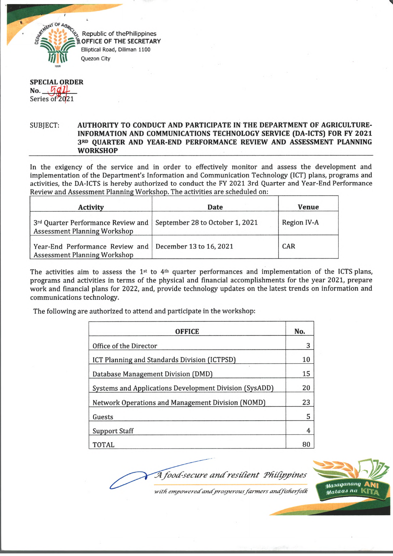

*CONFIGENT* **Elliptical Road, Diliman 1100** Quezon City

**SPECIAL ORDER No-** *M U -* Series of 2021

## SUBJECT: **AUTHORITY TO CONDUCT AND PARTICIPATE IN THE DEPARTMENT OF AGRICULTURE-INFORMATION AND COMMUNICATIONS TECHNOLOGY SERVICE (DA-ICTS) FOR FY 2021 3" QUARTER AND YEAR-END PERFORMANCE REVIEW AND ASSESSMENT PLANNING WORKSHOP**

In the exigency of the service and in order to effectively monitor and assess the development and implementation of the Department's Information and Communication Technology (ICT) plans, programs and activities, the DA-ICTS is hereby authorized to conduct the FY 2021 3rd Quarter and Year-End Performance Review and Assessment Planning Workshop. The activities are scheduled on:

| <b>Activity</b>                                                                                  | <b>Date</b>                     | <b>Venue</b> |
|--------------------------------------------------------------------------------------------------|---------------------------------|--------------|
| 3rd Quarter Performance Review and<br><b>Assessment Planning Workshop</b>                        | September 28 to October 1, 2021 | Region IV-A  |
| Year-End Performance Review and   December 13 to 16, 2021<br><b>Assessment Planning Workshop</b> |                                 | <b>CAR</b>   |

The activities aim to assess the 1<sup>st</sup> to 4<sup>th</sup> quarter performances and implementation of the ICTS plans, programs and activities in terms of the physical and financial accomplishments for the year 2021, prepare work and financial plans for 2022, and, provide technology updates on the latest trends on information and communications technology.

The following are authorized to attend and participate in the workshop:

| <b>OFFICE</b>                                          | No. |
|--------------------------------------------------------|-----|
| Office of the Director                                 |     |
| ICT Planning and Standards Division (ICTPSD)           |     |
| Database Management Division (DMD)                     |     |
| Systems and Applications Development Division (SysADD) |     |
| Network Operations and Management Division (NOMD)      |     |
| Guests                                                 |     |
| <b>Support Staff</b>                                   | 4   |
| <b>TOTAL</b>                                           |     |

Masaganang Mataas na Kl

with empowered and prosperous farmers and fisherfolk

A food-secure and resilient Philippines